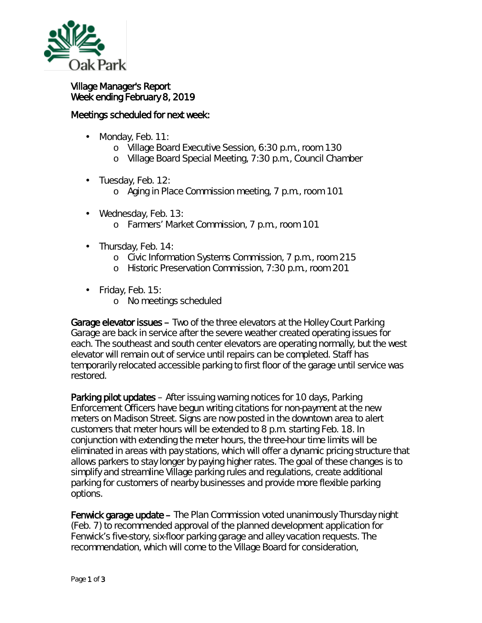

## Village Manager's Report Week ending February 8, 2019

## Meetings scheduled for next week:

- Monday, Feb. 11: ä,
	- o Village Board Executive Session, 6:30 p.m., room 130
	- o Village Board Special Meeting, 7:30 p.m., Council Chamber
- $\cdot$  Tuesday, Feb. 12:
	- o Aging in Place Commission meeting, 7 p.m., room 101
- Wednesday, Feb. 13:
	- o Farmers' Market Commission, 7 p.m., room 101
- ä, Thursday, Feb. 14:
	- o Civic Information Systems Commission, 7 p.m., room 215
	- o Historic Preservation Commission, 7:30 p.m., room 201
- Friday, Feb. 15:
	- o No meetings scheduled

Garage elevator issues – Two of the three elevators at the Holley Court Parking Garage are back in service after the severe weather created operating issues for each. The southeast and south center elevators are operating normally, but the west elevator will remain out of service until repairs can be completed. Staff has temporarily relocated accessible parking to first floor of the garage until service was restored.

Parking pilot updates – After issuing warning notices for 10 days, Parking Enforcement Officers have begun writing citations for non-payment at the new meters on Madison Street. Signs are now posted in the downtown area to alert customers that meter hours will be extended to 8 p.m. starting Feb. 18. In conjunction with extending the meter hours, the three-hour time limits will be eliminated in areas with pay stations, which will offer a dynamic pricing structure that allows parkers to stay longer by paying higher rates. The goal of these changes is to simplify and streamline Village parking rules and regulations, create additional parking for customers of nearby businesses and provide more flexible parking options.

Fenwick garage update – The Plan Commission voted unanimously Thursday night (Feb. 7) to recommended approval of the planned development application for Fenwick's five-story, six-floor parking garage and alley vacation requests. The recommendation, which will come to the Village Board for consideration,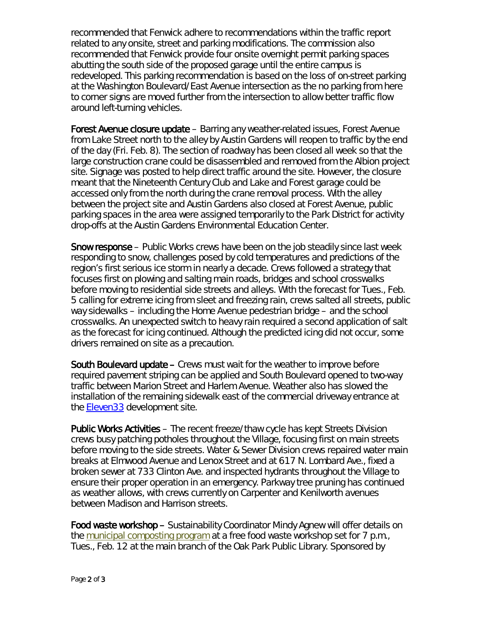recommended that Fenwick adhere to recommendations within the traffic report related to any onsite, street and parking modifications. The commission also recommended that Fenwick provide four onsite overnight permit parking spaces abutting the south side of the proposed garage until the entire campus is redeveloped. This parking recommendation is based on the loss of on-street parking at the Washington Boulevard/East Avenue intersection as the n*o parking from here to corner* signs are moved further from the intersection to allow better traffic flow around left-turning vehicles.

Forest Avenue closure update – Barring any weather-related issues, Forest Avenue from Lake Street north to the alley by Austin Gardens will reopen to traffic by the end of the day (Fri. Feb. 8). The section of roadway has been closed all week so that the large construction crane could be disassembled and removed from the Albion project site. Signage was posted to help direct traffic around the site. However, the closure meant that the Nineteenth Century Club and Lake and Forest garage could be accessed only from the north during the crane removal process. With the alley between the project site and Austin Gardens also closed at Forest Avenue, public parking spaces in the area were assigned temporarily to the Park District for activity drop-offs at the Austin Gardens Environmental Education Center.

Snow response – Public Works crews have been on the job steadily since last week responding to snow, challenges posed by cold temperatures and predictions of the region's first serious ice storm in nearly a decade. Crews followed a strategy that focuses first on plowing and salting main roads, bridges and school crosswalks before moving to residential side streets and alleys. With the forecast for Tues., Feb. 5 calling for extreme icing from sleet and freezing rain, crews salted all streets, public way sidewalks – including the Home Avenue pedestrian bridge – and the school crosswalks. An unexpected switch to heavy rain required a second application of salt as the forecast for icing continued. Although the predicted icing did not occur, some drivers remained on site as a precaution.

South Boulevard update – Crews must wait for the weather to improve before required pavement striping can be applied and South Boulevard opened to two-way traffic between Marion Street and Harlem Avenue. Weather also has slowed the installation of the remaining sidewalk east of the commercial driveway entrance at the [Eleven33](https://oakparkeconomicdevelopmentcorporation.org/portfolio/lincoln-property-co-development/) development site.

Public Works Activities – The recent freeze/thaw cycle has kept Streets Division crews busy patching potholes throughout the Village, focusing first on main streets before moving to the side streets. Water & Sewer Division crews repaired water main breaks at Elmwood Avenue and Lenox Street and at 617 N. Lombard Ave., fixed a broken sewer at 733 Clinton Ave. and inspected hydrants throughout the Village to ensure their proper operation in an emergency. Parkway tree pruning has continued as weather allows, with crews currently on Carpenter and Kenilworth avenues between Madison and Harrison streets.

Food waste workshop – Sustainability Coordinator Mindy Agnew will offer details on the [municipal composting program](http://r20.rs6.net/tn.jsp?f=001d5z3pQGfXklYad0eo8tSCSRxeA_2gClWaYkk_jGxjTM1Wyixt3bJVsNYXyEYEnuq4ITH528jBLhtcwunGnuZht-l-cqnTTjLpTtBkYhC3kByHAuoXjKkMrBttDl1Jzs83ggPHRrfuM55mzEbwPklORJXfwrB1gTUdeQiFhWpLz-ro8P0G7Rfnp2zf0MN-fXZNsPRST9l9HCbGd710hFGIb-mBgT0CmB0eMu-KCI95bRbjuByDclUutGOGP0IjMthHkHgNvG6PsUgFcYcSXyA1fN_3nSKeudPDRh-j_0i8RmNKuphhbD91WHfAZWFwgMJBUUZtBtlG2bn1_Ys6cgIrlVQNkHyW0O8&c=sbVc4ZrSSDkMVy0_z4FIsmSh684dEHbrRwVFlwTh6S2A0fQHf7z_hg==&ch=WhZIz1_lFBpw_5XDoNEniu3J6IS5a0wLek726ViFrIfIvda7HDrBHA==) at a free food waste workshop set for 7 p.m., Tues., Feb. 12 at the main branch of the Oak Park Public Library. Sponsored by